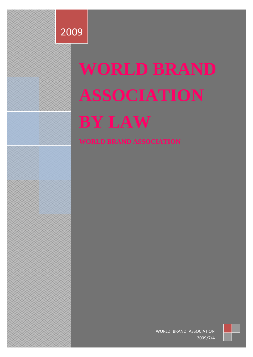

# **WORLD BRAND ASSOCIATION BY LAW**

**WORLD BRAND ASSOCIATION**

WORLD BRAND ASSOCIATION 2009/7/4

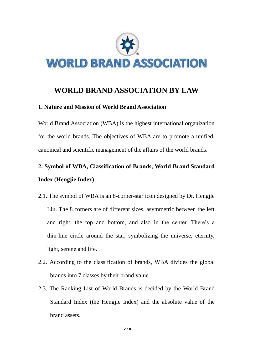

### **WORLD BRAND ASSOCIATION BY LAW**

#### **1. Nature and Mission of World Brand Association**

World Brand Association (WBA) is the highest international organization for the world brands. The objectives of WBA are to promote a unified, canonical and scientific management of the affairs of the world brands.

## **2. Symbol of WBA, Classification of Brands, World Brand Standard Index (Hengjie Index)**

- 2.1. The symbol of WBA is an 8-corner-star icon designed by Dr. Hengjie Liu. The 8 corners are of different sizes, asymmetric between the left and right, the top and bottom, and also in the center. There's a thin-line circle around the star, symbolizing the universe, eternity, light, serene and life.
- 2.2. According to the classification of brands, WBA divides the global brands into 7 classes by their brand value.
- 2.3. The Ranking List of World Brands is decided by the World Brand Standard Index (the Hengjie Index) and the absolute value of the brand assets.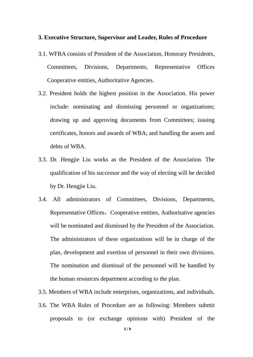#### **3. Executive Structure, Supervisor and Leader, Rules of Procedure**

- 3.1. WFBA consists of President of the Association, Honorary Presidents, Committees, Divisions, Departments, Representative Offices Cooperative entities, Authoritative Agencies.
- 3.2. President holds the highest position in the Association. His power include: nominating and dismissing personnel or organizations; drawing up and approving documents from Committees; issuing certificates, honors and awards of WBA; and handling the assets and debts of WBA.
- 3.3. Dr. Hengjie Liu works as the President of the Association. The qualification of his successor and the way of electing will be decided by Dr. Hengjie Liu.
- 3.4. All administrators of Committees, Divisions, Departments, Representative Offices, Cooperative entities, Authoritative agencies will be nominated and dismissed by the President of the Association. The administrators of these organizations will be in charge of the plan, development and exertion of personnel in their own divisions. The nomination and dismissal of the personnel will be handled by the human resources department according to the plan.
- 3.5. Members of WBA include enterprises, organizations, and individuals.
- 3.6. The WBA Rules of Procedure are as following: Members submit proposals to (or exchange opinions with) President of the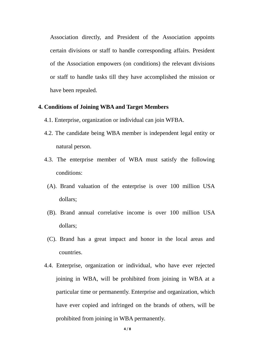Association directly, and President of the Association appoints certain divisions or staff to handle corresponding affairs. President of the Association empowers (on conditions) the relevant divisions or staff to handle tasks till they have accomplished the mission or have been repealed.

#### **4. Conditions of Joining WBA and Target Members**

- 4.1. Enterprise, organization or individual can join WFBA.
- 4.2. The candidate being WBA member is independent legal entity or natural person.
- 4.3. The enterprise member of WBA must satisfy the following conditions:
	- (A). Brand valuation of the enterprise is over 100 million USA dollars;
	- (B). Brand annual correlative income is over 100 million USA dollars;
	- (C). Brand has a great impact and honor in the local areas and countries.
- 4.4. Enterprise, organization or individual, who have ever rejected joining in WBA, will be prohibited from joining in WBA at a particular time or permanently. Enterprise and organization, which have ever copied and infringed on the brands of others, will be prohibited from joining in WBA permanently.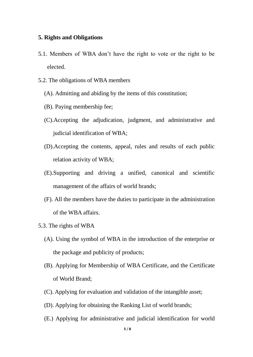#### **5. Rights and Obligations**

- 5.1. Members of WBA don't have the right to vote or the right to be elected.
- 5.2. The obligations of WBA members
	- (A). Admitting and abiding by the items of this constitution;
	- (B). Paying membership fee;
	- (C).Accepting the adjudication, judgment, and administrative and judicial identification of WBA;
	- (D).Accepting the contents, appeal, rules and results of each public relation activity of WBA;
	- (E).Supporting and driving a unified, canonical and scientific management of the affairs of world brands;
	- (F). All the members have the duties to participate in the administration of the WBA affairs.
- 5.3. The rights of WBA
	- (A). Using the symbol of WBA in the introduction of the enterprise or the package and publicity of products;
	- (B). Applying for Membership of WBA Certificate, and the Certificate of World Brand;
	- (C). Applying for evaluation and validation of the intangible asset;
	- (D). Applying for obtaining the Ranking List of world brands;
	- (E.) Applying for administrative and judicial identification for world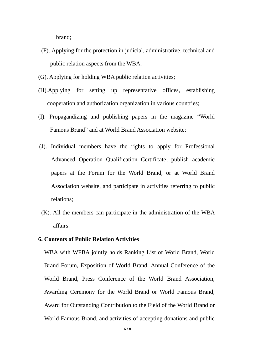brand;

- (F). Applying for the protection in judicial, administrative, technical and public relation aspects from the WBA.
- (G). Applying for holding WBA public relation activities;
- (H).Applying for setting up representative offices, establishing cooperation and authorization organization in various countries;
- (I). Propagandizing and publishing papers in the magazine "World Famous Brand" and at World Brand Association website;
- (J). Individual members have the rights to apply for Professional Advanced Operation Qualification Certificate, publish academic papers at the Forum for the World Brand, or at World Brand Association website, and participate in activities referring to public relations;
- (K). All the members can participate in the administration of the WBA affairs.

#### **6. Contents of Public Relation Activities**

WBA with WFBA jointly holds Ranking List of World Brand, World Brand Forum, Exposition of World Brand, Annual Conference of the World Brand, Press Conference of the World Brand Association, Awarding Ceremony for the World Brand or World Famous Brand, Award for Outstanding Contribution to the Field of the World Brand or World Famous Brand, and activities of accepting donations and public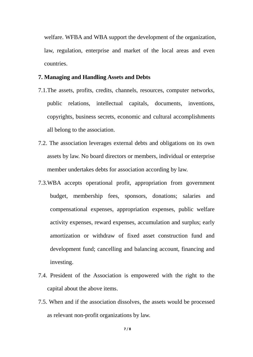welfare. WFBA and WBA support the development of the organization, law, regulation, enterprise and market of the local areas and even countries.

#### **7. Managing and Handling Assets and Debts**

- 7.1.The assets, profits, credits, channels, resources, computer networks, public relations, intellectual capitals, documents, inventions, copyrights, business secrets, economic and cultural accomplishments all belong to the association.
- 7.2. The association leverages external debts and obligations on its own assets by law. No board directors or members, individual or enterprise member undertakes debts for association according by law.
- 7.3.WBA accepts operational profit, appropriation from government budget, membership fees, sponsors, donations; salaries and compensational expenses, appropriation expenses, public welfare activity expenses, reward expenses, accumulation and surplus; early amortization or withdraw of fixed asset construction fund and development fund; cancelling and balancing account, financing and investing.
- 7.4. President of the Association is empowered with the right to the capital about the above items.
- 7.5. When and if the association dissolves, the assets would be processed as relevant non-profit organizations by law.